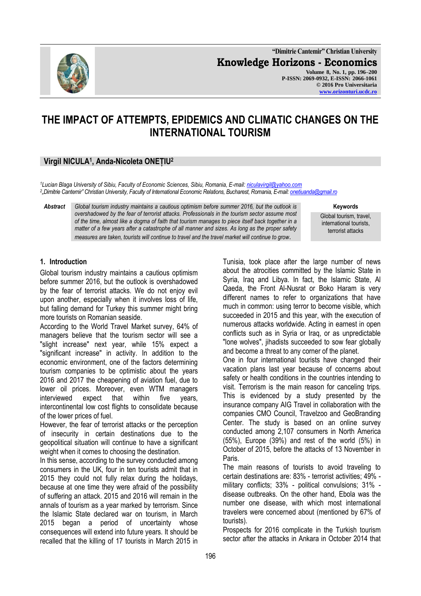

**"Dimitrie Cantemir" Christian University Knowledge Horizons - Economics Volume 8, No. 1, pp. 196–200 P-ISSN: 2069-0932, E-ISSN: 2066-1061 © 2016 Pro Universitaria [www.orizonturi.ucdc.ro](http://www.orizonturi.ucdc.ro/)**

# **THE IMPACT OF ATTEMPTS, EPIDEMICS AND CLIMATIC CHANGES ON THE INTERNATIONAL TOURISM**

## **Virgil NICULA<sup>1</sup> , Anda-Nicoleta ONEȚIU<sup>2</sup>**

*<sup>1</sup>Lucian Blaga University of Sibiu, Faculty of Economic Sciences, Sibiu, Romania, E-mail: [niculavirgil@yahoo.com](mailto:niculavirgil@yahoo.com) 2 "Dimitrie Cantemir" Christian University, Faculty of International Economic Relations, Bucharest, Romania, E-mail[: onetiuanda@gmail.ro](mailto:onetiuanda@gmail.ro)*

*Abstract Global tourism industry maintains a cautious optimism before summer 2016, but the outlook is overshadowed by the fear of terrorist attacks. Professionals in the tourism sector assume most of the time, almost like a dogma of faith that tourism manages to piece itself back together in a matter of a few years after a catastrophe of all manner and sizes. As long as the proper safety measures are taken, tourists will continue to travel and the travel market will continue to grow*.

**Keywords**

Global tourism, travel, international tourists, terrorist attacks

### **1. Introduction**

Global tourism industry maintains a cautious optimism before summer 2016, but the outlook is overshadowed by the fear of terrorist attacks. We do not enjoy evil upon another, especially when it involves loss of life, but falling demand for Turkey this summer might bring more tourists on Romanian seaside.

According to the World Travel Market survey, 64% of managers believe that the tourism sector will see a "slight increase" next year, while 15% expect a "significant increase" in activity. In addition to the economic environment, one of the factors determining tourism companies to be optimistic about the years 2016 and 2017 the cheapening of aviation fuel, due to lower oil prices. Moreover, even WTM managers interviewed expect that within five years, intercontinental low cost flights to consolidate because of the lower prices of fuel.

However, the fear of terrorist attacks or the perception of insecurity in certain destinations due to the geopolitical situation will continue to have a significant weight when it comes to choosing the destination.

In this sense, according to the survey conducted among consumers in the UK, four in ten tourists admit that in 2015 they could not fully relax during the holidays, because at one time they were afraid of the possibility of suffering an attack. 2015 and 2016 will remain in the annals of tourism as a year marked by terrorism. Since the Islamic State declared war on tourism, in March 2015 began a period of uncertainty whose consequences will extend into future years. It should be recalled that the killing of 17 tourists in March 2015 in

Tunisia, took place after the large number of news about the atrocities committed by the Islamic State in Syria, Iraq and Libya. In fact, the Islamic State, Al Qaeda, the Front Al-Nusrat or Boko Haram is very different names to refer to organizations that have much in common: using terror to become visible, which succeeded in 2015 and this year, with the execution of numerous attacks worldwide. Acting in earnest in open conflicts such as in Syria or Iraq, or as unpredictable "lone wolves", jihadists succeeded to sow fear globally and become a threat to any corner of the planet.

One in four international tourists have changed their vacation plans last year because of concerns about safety or health conditions in the countries intending to visit. Terrorism is the main reason for canceling trips. This is evidenced by a study presented by the insurance company AIG Travel in collaboration with the companies CMO Council, Travelzoo and GeoBranding Center. The study is based on an online survey conducted among 2,107 consumers in North America (55%), Europe (39%) and rest of the world (5%) in October of 2015, before the attacks of 13 November in Paris.

The main reasons of tourists to avoid traveling to certain destinations are: 83% - terrorist activities; 49% military conflicts; 33% - political convulsions; 31% disease outbreaks. On the other hand, Ebola was the number one disease, with which most international travelers were concerned about (mentioned by 67% of tourists).

Prospects for 2016 complicate in the Turkish tourism sector after the attacks in Ankara in October 2014 that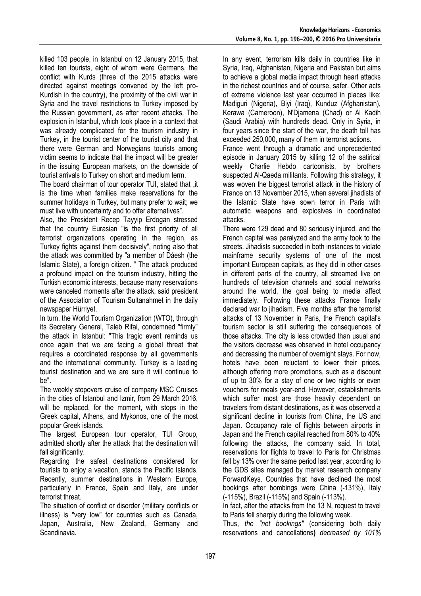killed 103 people, in Istanbul on 12 January 2015, that killed ten tourists, eight of whom were Germans, the conflict with Kurds (three of the 2015 attacks were directed against meetings convened by the left pro-Kurdish in the country), the proximity of the civil war in Syria and the travel restrictions to Turkey imposed by the Russian government, as after recent attacks. The explosion in Istanbul, which took place in a context that was already complicated for the tourism industry in Turkey, in the tourist center of the tourist city and that there were German and Norwegians tourists among victim seems to indicate that the impact will be greater in the issuing European markets, on the downside of tourist arrivals to Turkey on short and medium term.

The board chairman of tour operator TUI, stated that ..it is the time when families make reservations for the summer holidays in Turkey, but many prefer to wait; we must live with uncertainty and to offer alternatives".

Also, the President Recep Tayyip Erdogan stressed that the country Eurasian "is the first priority of all terrorist organizations operating in the region, as Turkey fights against them decisively", noting also that the attack was committed by "a member of Dáesh (the Islamic State), a foreign citizen. " The attack produced a profound impact on the tourism industry, hitting the Turkish economic interests, because many reservations were canceled moments after the attack, said president of the Association of Tourism Sultanahmet in the daily newspaper Hürriyet.

In turn, the World Tourism Organization (WTO), through its Secretary General, Taleb Rifai, condemned "firmly" the attack in Istanbul: "This tragic event reminds us once again that we are facing a global threat that requires a coordinated response by all governments and the international community. Turkey is a leading tourist destination and we are sure it will continue to be".

The weekly stopovers cruise of company MSC Cruises in the cities of Istanbul and Izmir, from 29 March 2016, will be replaced, for the moment, with stops in the Greek capital, Athens, and Mykonos, one of the most popular Greek islands.

The largest European tour operator, TUI Group, admitted shortly after the attack that the destination will fall significantly.

Regarding the safest destinations considered for tourists to enjoy a vacation, stands the Pacific Islands. Recently, summer destinations in Western Europe, particularly in France, Spain and Italy, are under terrorist threat.

The situation of conflict or disorder (military conflicts or illness) is "very low" for countries such as Canada, Japan, Australia, New Zealand, Germany and Scandinavia.

In any event, terrorism kills daily in countries like in Syria, Iraq, Afghanistan, Nigeria and Pakistan but aims to achieve a global media impact through heart attacks in the richest countries and of course, safer. Other acts of extreme violence last year occurred in places like: Madiguri (Nigeria), Biyi (Iraq), Kunduz (Afghanistan), Kerawa (Cameroon), N'Djamena (Chad) or Al Kadih (Saudi Arabia) with hundreds dead. Only in Syria, in four years since the start of the war, the death toll has exceeded 250,000, many of them in terrorist actions.

France went through a dramatic and unprecedented episode in January 2015 by killing 12 of the satirical weekly Charlie Hebdo cartoonists, by brothers suspected Al-Qaeda militants. Following this strategy, it was woven the biggest terrorist attack in the history of France on 13 November 2015, when several jihadists of the Islamic State have sown terror in Paris with automatic weapons and explosives in coordinated attacks.

There were 129 dead and 80 seriously injured, and the French capital was paralyzed and the army took to the streets. Jihadists succeeded in both instances to violate mainframe security systems of one of the most important European capitals, as they did in other cases in different parts of the country, all streamed live on hundreds of television channels and social networks around the world, the goal being to media affect immediately. Following these attacks France finally declared war to jihadism. Five months after the terrorist attacks of 13 November in Paris, the French capital's tourism sector is still suffering the consequences of those attacks. The city is less crowded than usual and the visitors decrease was observed in hotel occupancy and decreasing the number of overnight stays. For now, hotels have been reluctant to lower their prices, although offering more promotions, such as a discount of up to 30% for a stay of one or two nights or even vouchers for meals year-end. However, establishments which suffer most are those heavily dependent on travelers from distant destinations, as it was observed a significant decline in tourists from China, the US and Japan. Occupancy rate of flights between airports in Japan and the French capital reached from 80% to 40% following the attacks, the company said. In total, reservations for flights to travel to Paris for Christmas fell by 13% over the same period last year, according to the GDS sites managed by market research company ForwardKeys. Countries that have declined the most bookings after bombings were China (-131%), Italy (-115%), Brazil (-115%) and Spain (-113%).

In fact, after the attacks from the 13 N, request to travel to Paris fell sharply during the following week.

Thus, *the "net bookings"* (considering both daily reservations and cancellations**)** *decreased by 101%*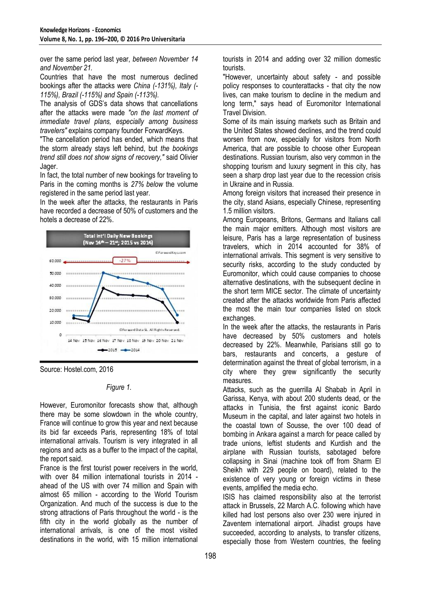over the same period last year, *between November 14 and November 21.*

Countries that have the most numerous declined bookings after the attacks were *China (-131%), Italy (- 115%), Brazil (-115%) and Spain (-113%).*

The analysis of GDS's data shows that cancellations after the attacks were made *"on the last moment of immediate travel plans, especially among business travelers"* explains company founder ForwardKeys.

"The cancellation period has ended, which means that the storm already stays left behind, but *the bookings trend still does not show signs of recovery,"* said Olivier Jager.

In fact, the total number of new bookings for traveling to Paris in the coming months is *27% below* the volume registered in the same period last year.

In the week after the attacks, the restaurants in Paris have recorded a decrease of 50% of customers and the hotels a decrease of 22%.



Source: Hostel.com, 2016

#### *Figure 1.*

However, Euromonitor forecasts show that, although there may be some slowdown in the whole country, France will continue to grow this year and next because its bid far exceeds Paris, representing 18% of total international arrivals. Tourism is very integrated in all regions and acts as a buffer to the impact of the capital, the report said.

France is the first tourist power receivers in the world, with over 84 million international tourists in 2014 ahead of the US with over 74 million and Spain with almost 65 million - according to the World Tourism Organization. And much of the success is due to the strong attractions of Paris throughout the world - is the fifth city in the world globally as the number of international arrivals, is one of the most visited destinations in the world, with 15 million international

tourists in 2014 and adding over 32 million domestic tourists.

"However, uncertainty about safety - and possible policy responses to counterattacks - that city the now lives, can make tourism to decline in the medium and long term," says head of Euromonitor International Travel Division.

Some of its main issuing markets such as Britain and the United States showed declines, and the trend could worsen from now, especially for visitors from North America, that are possible to choose other European destinations. Russian tourism, also very common in the shopping tourism and luxury segment in this city, has seen a sharp drop last year due to the recession crisis in Ukraine and in Russia.

Among foreign visitors that increased their presence in the city, stand Asians, especially Chinese, representing 1.5 million visitors.

Among Europeans, Britons, Germans and Italians call the main major emitters. Although most visitors are leisure, Paris has a large representation of business travelers, which in 2014 accounted for 38% of international arrivals. This segment is very sensitive to security risks, according to the study conducted by Euromonitor, which could cause companies to choose alternative destinations, with the subsequent decline in the short term MICE sector. The climate of uncertainty created after the attacks worldwide from Paris affected the most the main tour companies listed on stock exchanges.

In the week after the attacks, the restaurants in Paris have decreased by 50% customers and hotels decreased by 22%. Meanwhile, Parisians still go to bars, restaurants and concerts, a gesture of determination against the threat of global terrorism, in a city where they grew significantly the security measures.

Attacks, such as the guerrilla Al Shabab in April in Garissa, Kenya, with about 200 students dead, or the attacks in Tunisia, the first against iconic Bardo Museum in the capital, and later against two hotels in the coastal town of Sousse, the over 100 dead of bombing in Ankara against a march for peace called by trade unions, leftist students and Kurdish and the airplane with Russian tourists, sabotaged before collapsing in Sinai (machine took off from Sharm El Sheikh with 229 people on board), related to the existence of very young or foreign victims in these events, amplified the media echo.

ISIS has claimed responsibility also at the terrorist attack in Brussels, 22 March A.C. following which have killed had lost persons also over 230 were injured in Zaventem international airport. Jihadist groups have succeeded, according to analysts, to transfer citizens, especially those from Western countries, the feeling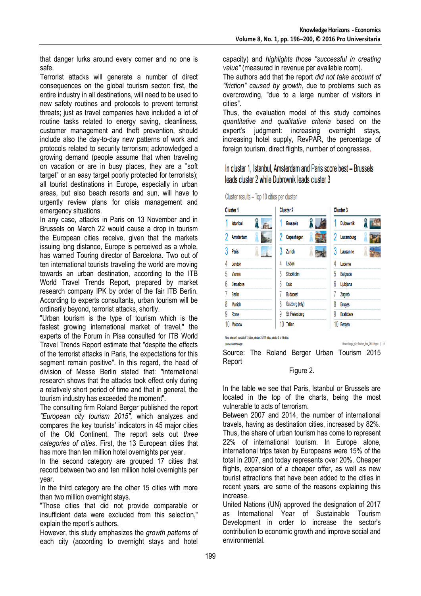that danger lurks around every corner and no one is safe.

Terrorist attacks will generate a number of direct consequences on the global tourism sector: first, the entire industry in all destinations, will need to be used to new safety routines and protocols to prevent terrorist threats; just as travel companies have included a lot of routine tasks related to energy saving, cleanliness, customer management and theft prevention, should include also the day-to-day new patterns of work and protocols related to security terrorism; acknowledged a growing demand (people assume that when traveling on vacation or are in busy places, they are a "soft target" or an easy target poorly protected for terrorists); all tourist destinations in Europe, especially in urban areas, but also beach resorts and sun, will have to urgently review plans for crisis management and emergency situations.

In any case, attacks in Paris on 13 November and in Brussels on March 22 would cause a drop in tourism the European cities receive, given that the markets issuing long distance, Europe is perceived as a whole, has warned Touring director of Barcelona. Two out of ten international tourists traveling the world are moving towards an urban destination, according to the ITB World Travel Trends Report, prepared by market research company IPK by order of the fair ITB Berlin. According to experts consultants, urban tourism will be ordinarily beyond, terrorist attacks, shortly.

"Urban tourism is the type of tourism which is the fastest growing international market of travel," the experts of the Forum in Pisa consulted for ITB World Travel Trends Report estimate that "despite the effects of the terrorist attacks in Paris, the expectations for this segment remain positive". In this regard, the head of division of Messe Berlin stated that: "international research shows that the attacks took effect only during a relatively short period of time and that in general, the tourism industry has exceeded the moment".

The consulting firm Roland Berger published the report *"European city tourism 2015",* which analyzes and compares the key tourists' indicators in 45 major cities of the Old Continent. The report sets out *three categories of cities*. First, the 13 European cities that has more than ten million hotel overnights per year.

In the second category are grouped 17 cities that record between two and ten million hotel overnights per year.

In the third category are the other 15 cities with more than two million overnight stays.

"Those cities that did not provide comparable or insufficient data were excluded from this selection," explain the report's authors.

However, this study emphasizes the *growth patterns* of each city (according to overnight stays and hotel capacity) and *highlights those "successful in creating value"* (measured in revenue per available room).

The authors add that the report *did not take account of "friction" caused by growth*, due to problems such as overcrowding, "due to a large number of visitors in cities".

Thus, the evaluation model of this study combines *quantitative and qualitative criteria* based on the expert's judgment: increasing overnight stays, increasing hotel supply, RevPAR, the percentage of foreign tourism, direct flights, number of congresses.

In cluster 1. Istanbul. Amsterdam and Paris score best – Brussels leads cluster 2 while Dubrovnik leads cluster 3

 $\mathbf{A}$  and  $\mathbf{A}$ 

| <b>Cluster 1</b> |                  |  | <b>Cluster 2</b> |                  |  |    | <b>Cluster 3</b>  |  |  |
|------------------|------------------|--|------------------|------------------|--|----|-------------------|--|--|
|                  | <b>Istanbul</b>  |  |                  | <b>Brussels</b>  |  |    | <b>Dubrovnik</b>  |  |  |
|                  | Amsterdam        |  |                  | Copenhagen       |  |    | Luxemburg         |  |  |
|                  | Paris            |  | 3                | Zurich           |  | 3  | Lausanne          |  |  |
|                  | London           |  | Δ                | Lisbon           |  | 4  | Lucerne           |  |  |
| 5                | Vienna           |  | 5                | <b>Stockholm</b> |  | 5  | Belgrade          |  |  |
| 6                | <b>Barcelona</b> |  | 6                | <b>Oslo</b>      |  | 6  | Ljubljana         |  |  |
|                  | <b>Berlin</b>    |  |                  | <b>Budapest</b>  |  |    | Zagreb            |  |  |
| 8                | Munich           |  | 8                | Salzburg (city)  |  | 8  | <b>Bruges</b>     |  |  |
| y                | Rome             |  | 9                | St. Petersburg   |  | 9  | <b>Bratislava</b> |  |  |
|                  | <b>Moscow</b>    |  | 10               | <b>Tallinn</b>   |  | 10 | Bergen            |  |  |

Note: cluster 1 consist of 13 cities, cluster 2 of 17 cities, cluster 3 of 15 cities Source: Roland Berge

Roland Berger\_City Tourism\_final\_261115.ppb: | 15

Source: The Roland Berger Urban Tourism 2015 Report

#### Figure 2.

In the table we see that Paris, Istanbul or Brussels are located in the top of the charts, being the most vulnerable to acts of terrorism.

Between 2007 and 2014, the number of international travels, having as destination cities, increased by 82%. Thus, the share of urban tourism has come to represent 22% of international tourism. In Europe alone, international trips taken by Europeans were 15% of the total in 2007, and today represents over 20%. Cheaper flights, expansion of a cheaper offer, as well as new tourist attractions that have been added to the cities in recent years, are some of the reasons explaining this increase.

United Nations (UN) approved the designation of 2017 as International Year of Sustainable Tourism Development in order to increase the sector's contribution to economic growth and improve social and environmental.